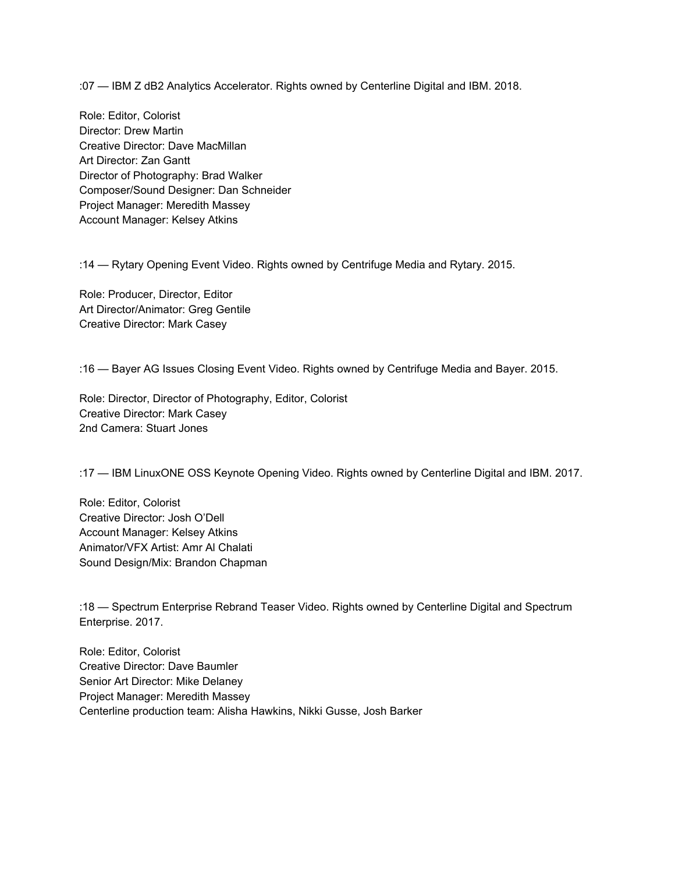:07 — IBM Z dB2 Analytics Accelerator. Rights owned by Centerline Digital and IBM. 2018.

Role: Editor, Colorist Director: Drew Martin Creative Director: Dave MacMillan Art Director: Zan Gantt Director of Photography: Brad Walker Composer/Sound Designer: Dan Schneider Project Manager: Meredith Massey Account Manager: Kelsey Atkins

:14 — Rytary Opening Event Video. Rights owned by Centrifuge Media and Rytary. 2015.

Role: Producer, Director, Editor Art Director/Animator: Greg Gentile Creative Director: Mark Casey

:16 — Bayer AG Issues Closing Event Video. Rights owned by Centrifuge Media and Bayer. 2015.

Role: Director, Director of Photography, Editor, Colorist Creative Director: Mark Casey 2nd Camera: Stuart Jones

:17 — IBM LinuxONE OSS Keynote Opening Video. Rights owned by Centerline Digital and IBM. 2017.

Role: Editor, Colorist Creative Director: Josh O'Dell Account Manager: Kelsey Atkins Animator/VFX Artist: Amr Al Chalati Sound Design/Mix: Brandon Chapman

:18 — Spectrum Enterprise Rebrand Teaser Video. Rights owned by Centerline Digital and Spectrum Enterprise. 2017.

Role: Editor, Colorist Creative Director: Dave Baumler Senior Art Director: Mike Delaney Project Manager: Meredith Massey Centerline production team: Alisha Hawkins, Nikki Gusse, Josh Barker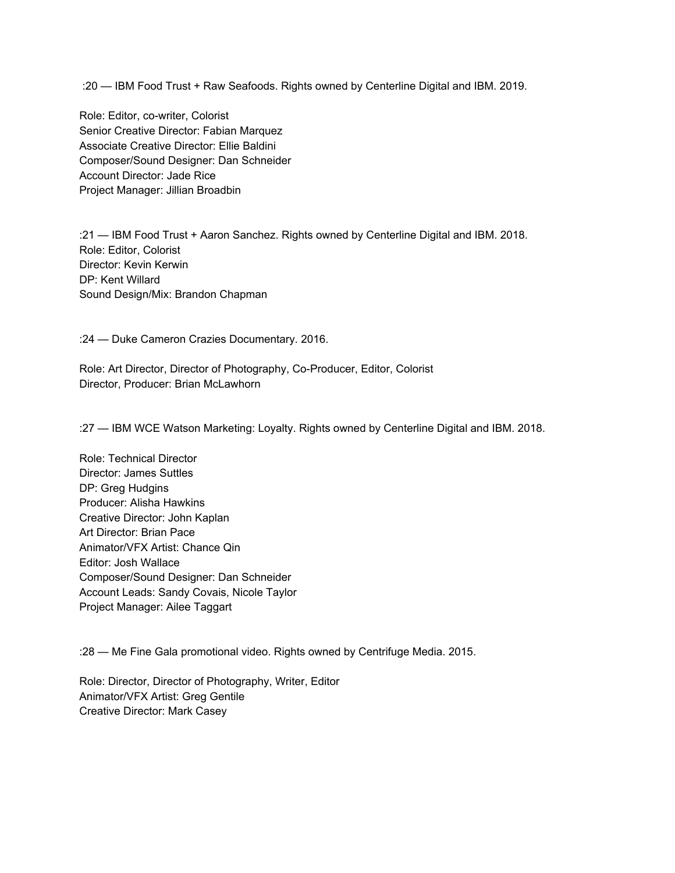:20 — IBM Food Trust + Raw Seafoods. Rights owned by Centerline Digital and IBM. 2019.

Role: Editor, co-writer, Colorist Senior Creative Director: Fabian Marquez Associate Creative Director: Ellie Baldini Composer/Sound Designer: Dan Schneider Account Director: Jade Rice Project Manager: Jillian Broadbin

:21 — IBM Food Trust + Aaron Sanchez. Rights owned by Centerline Digital and IBM. 2018. Role: Editor, Colorist Director: Kevin Kerwin DP: Kent Willard Sound Design/Mix: Brandon Chapman

:24 — Duke Cameron Crazies Documentary. 2016.

Role: Art Director, Director of Photography, Co-Producer, Editor, Colorist Director, Producer: Brian McLawhorn

:27 — IBM WCE Watson Marketing: Loyalty. Rights owned by Centerline Digital and IBM. 2018.

Role: Technical Director Director: James Suttles DP: Greg Hudgins Producer: Alisha Hawkins Creative Director: John Kaplan Art Director: Brian Pace Animator/VFX Artist: Chance Qin Editor: Josh Wallace Composer/Sound Designer: Dan Schneider Account Leads: Sandy Covais, Nicole Taylor Project Manager: Ailee Taggart

:28 — Me Fine Gala promotional video. Rights owned by Centrifuge Media. 2015.

Role: Director, Director of Photography, Writer, Editor Animator/VFX Artist: Greg Gentile Creative Director: Mark Casey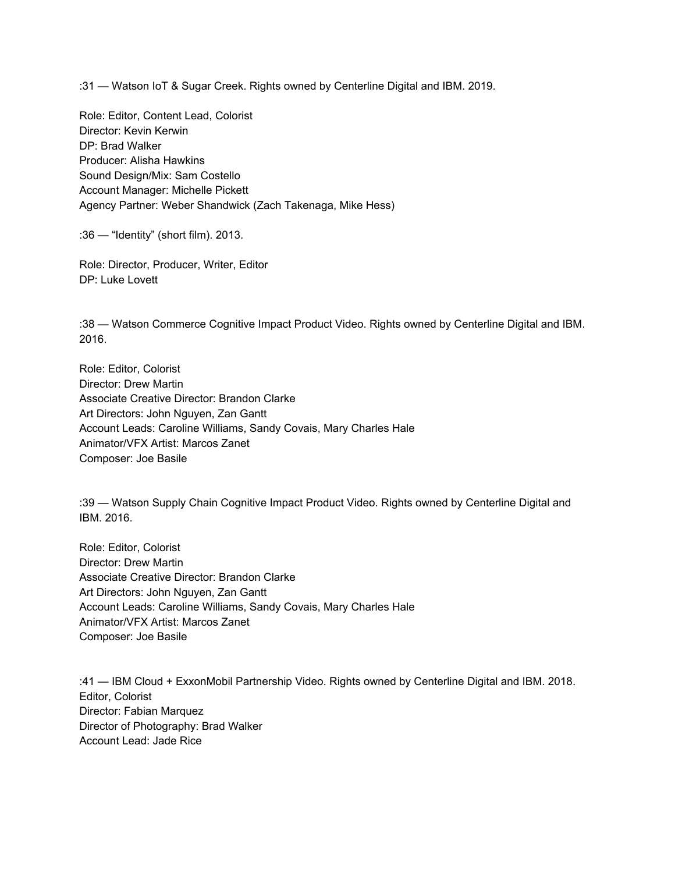:31 — Watson IoT & Sugar Creek. Rights owned by Centerline Digital and IBM. 2019.

Role: Editor, Content Lead, Colorist Director: Kevin Kerwin DP: Brad Walker Producer: Alisha Hawkins Sound Design/Mix: Sam Costello Account Manager: Michelle Pickett Agency Partner: Weber Shandwick (Zach Takenaga, Mike Hess)

:36 — "Identity" (short film). 2013.

Role: Director, Producer, Writer, Editor DP: Luke Lovett

:38 — Watson Commerce Cognitive Impact Product Video. Rights owned by Centerline Digital and IBM. 2016.

Role: Editor, Colorist Director: Drew Martin Associate Creative Director: Brandon Clarke Art Directors: John Nguyen, Zan Gantt Account Leads: Caroline Williams, Sandy Covais, Mary Charles Hale Animator/VFX Artist: Marcos Zanet Composer: Joe Basile

:39 — Watson Supply Chain Cognitive Impact Product Video. Rights owned by Centerline Digital and IBM. 2016.

Role: Editor, Colorist Director: Drew Martin Associate Creative Director: Brandon Clarke Art Directors: John Nguyen, Zan Gantt Account Leads: Caroline Williams, Sandy Covais, Mary Charles Hale Animator/VFX Artist: Marcos Zanet Composer: Joe Basile

:41 — IBM Cloud + ExxonMobil Partnership Video. Rights owned by Centerline Digital and IBM. 2018. Editor, Colorist Director: Fabian Marquez Director of Photography: Brad Walker Account Lead: Jade Rice